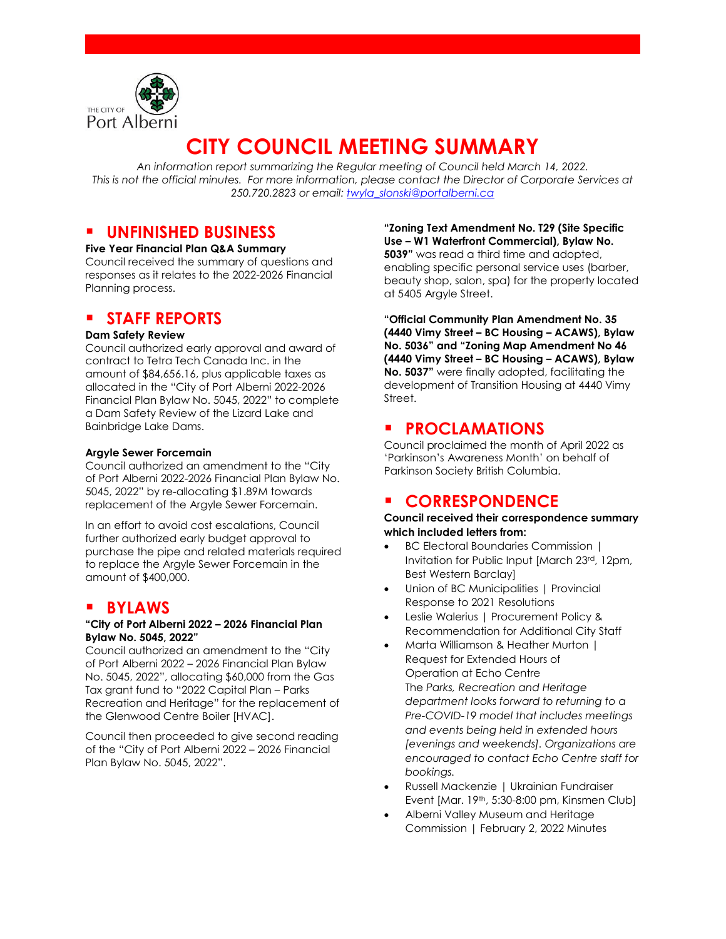

# **CITY COUNCIL MEETING SUMMARY**

*An information report summarizing the Regular meeting of Council held March 14, 2022. This is not the official minutes. For more information, please contact the Director of Corporate Services at 250.720.2823 or email: [twyla\\_slonski@portalberni.ca](mailto:twyla_slonski@portalberni.ca)*

# **UNFINISHED BUSINESS**

**Five Year Financial Plan Q&A Summary** Council received the summary of questions and responses as it relates to the 2022-2026 Financial Planning process.

# **STAFF REPORTS**

#### **Dam Safety Review**

Council authorized early approval and award of contract to Tetra Tech Canada Inc. in the amount of \$84,656.16, plus applicable taxes as allocated in the "City of Port Alberni 2022-2026 Financial Plan Bylaw No. 5045, 2022" to complete a Dam Safety Review of the Lizard Lake and Bainbridge Lake Dams.

#### **Argyle Sewer Forcemain**

Council authorized an amendment to the "City of Port Alberni 2022-2026 Financial Plan Bylaw No. 5045, 2022" by re-allocating \$1.89M towards replacement of the Argyle Sewer Forcemain.

In an effort to avoid cost escalations, Council further authorized early budget approval to purchase the pipe and related materials required to replace the Argyle Sewer Forcemain in the amount of \$400,000.

# **BYLAWS**

#### **"City of Port Alberni 2022 – 2026 Financial Plan Bylaw No. 5045, 2022"**

Council authorized an amendment to the "City of Port Alberni 2022 – 2026 Financial Plan Bylaw No. 5045, 2022", allocating \$60,000 from the Gas Tax grant fund to "2022 Capital Plan – Parks Recreation and Heritage" for the replacement of the Glenwood Centre Boiler [HVAC].

Council then proceeded to give second reading of the "City of Port Alberni 2022 – 2026 Financial Plan Bylaw No. 5045, 2022".

**"Zoning Text Amendment No. T29 (Site Specific Use – W1 Waterfront Commercial), Bylaw No. 5039"** was read a third time and adopted, enabling specific personal service uses (barber, beauty shop, salon, spa) for the property located at 5405 Argyle Street.

**"Official Community Plan Amendment No. 35 (4440 Vimy Street – BC Housing – ACAWS), Bylaw No. 5036" and "Zoning Map Amendment No 46 (4440 Vimy Street – BC Housing – ACAWS), Bylaw No. 5037"** were finally adopted, facilitating the development of Transition Housing at 4440 Vimy Street.

# **PROCLAMATIONS**

Council proclaimed the month of April 2022 as 'Parkinson's Awareness Month' on behalf of Parkinson Society British Columbia.

# **CORRESPONDENCE**

#### **Council received their correspondence summary which included letters from:**

- BC Electoral Boundaries Commission | Invitation for Public Input [March 23rd, 12pm, Best Western Barclay]
- Union of BC Municipalities | Provincial Response to 2021 Resolutions
- Leslie Walerius | Procurement Policy & Recommendation for Additional City Staff
- Marta Williamson & Heather Murton | Request for Extended Hours of Operation at Echo Centre The *Parks, Recreation and Heritage department looks forward to returning to a Pre-COVID-19 model that includes meetings and events being held in extended hours [evenings and weekends]. Organizations are encouraged to contact Echo Centre staff for bookings.*
- Russell Mackenzie | Ukrainian Fundraiser Event [Mar. 19<sup>th</sup>, 5:30-8:00 pm, Kinsmen Club]
- Alberni Valley Museum and Heritage Commission | February 2, 2022 Minutes